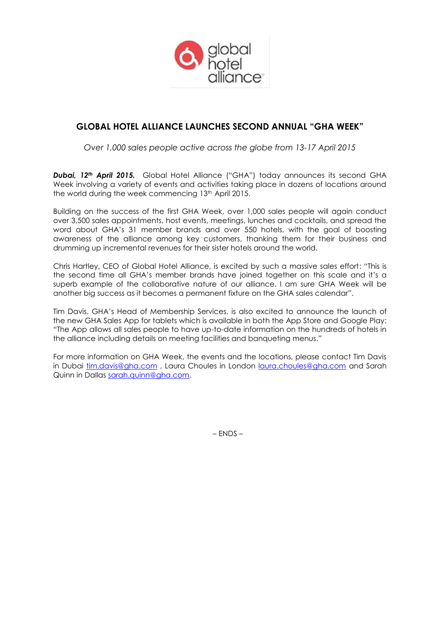

# **GLOBAL HOTEL ALLIANCE LAUNCHES SECOND ANNUAL "GHA WEEK"**

*Over 1,000 sales people active across the globe from 13-17 April 2015*

*Dubai, 12th April 2015.* Global Hotel Alliance ("GHA") today announces its second GHA Week involving a variety of events and activities taking place in dozens of locations around the world during the week commencing 13<sup>th</sup> April 2015.

Building on the success of the first GHA Week, over 1,000 sales people will again conduct over 3,500 sales appointments, host events, meetings, lunches and cocktails, and spread the word about GHA's 31 member brands and over 550 hotels, with the goal of boosting awareness of the alliance among key customers, thanking them for their business and drumming up incremental revenues for their sister hotels around the world.

Chris Hartley, CEO of Global Hotel Alliance, is excited by such a massive sales effort: "This is the second time all GHA's member brands have joined together on this scale and it's a superb example of the collaborative nature of our alliance. I am sure GHA Week will be another big success as it becomes a permanent fixture on the GHA sales calendar".

Tim Davis, GHA's Head of Membership Services, is also excited to announce the launch of the new GHA Sales App for tablets which is available in both the App Store and Google Play: "The App allows all sales people to have up-to-date information on the hundreds of hotels in the alliance including details on meeting facilities and banqueting menus."

For more information on GHA Week, the events and the locations, please contact Tim Davis in Dubai [tim.davis@gha.com](mailto:tim.davis@gha.com) , Laura Choules in London [laura.choules@gha.com](mailto:laura.choules@gha.com) and Sarah Quinn in Dallas [sarah.quinn@gha.com.](mailto:sarah.quinn@gha.com)

– ENDS –